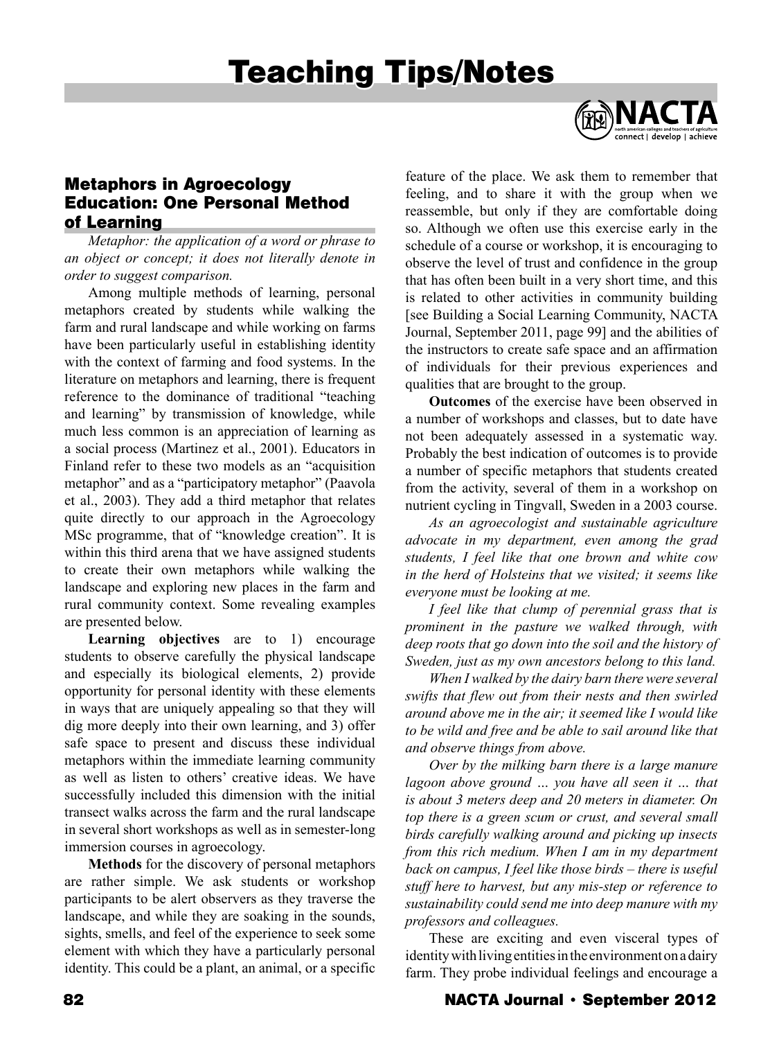# Teaching Tips/Notes



# Metaphors in Agroecology Education: One Personal Method of Learning

*Metaphor: the application of a word or phrase to an object or concept; it does not literally denote in order to suggest comparison.*

Among multiple methods of learning, personal metaphors created by students while walking the farm and rural landscape and while working on farms have been particularly useful in establishing identity with the context of farming and food systems. In the literature on metaphors and learning, there is frequent reference to the dominance of traditional "teaching and learning" by transmission of knowledge, while much less common is an appreciation of learning as a social process (Martinez et al., 2001). Educators in Finland refer to these two models as an "acquisition metaphor" and as a "participatory metaphor" (Paavola et al., 2003). They add a third metaphor that relates quite directly to our approach in the Agroecology MSc programme, that of "knowledge creation". It is within this third arena that we have assigned students to create their own metaphors while walking the landscape and exploring new places in the farm and rural community context. Some revealing examples are presented below.

**Learning objectives** are to 1) encourage students to observe carefully the physical landscape and especially its biological elements, 2) provide opportunity for personal identity with these elements in ways that are uniquely appealing so that they will dig more deeply into their own learning, and 3) offer safe space to present and discuss these individual metaphors within the immediate learning community as well as listen to others' creative ideas. We have successfully included this dimension with the initial transect walks across the farm and the rural landscape in several short workshops as well as in semester-long immersion courses in agroecology.

**Methods** for the discovery of personal metaphors are rather simple. We ask students or workshop participants to be alert observers as they traverse the landscape, and while they are soaking in the sounds, sights, smells, and feel of the experience to seek some element with which they have a particularly personal identity. This could be a plant, an animal, or a specific

feature of the place. We ask them to remember that feeling, and to share it with the group when we reassemble, but only if they are comfortable doing so. Although we often use this exercise early in the schedule of a course or workshop, it is encouraging to observe the level of trust and confidence in the group that has often been built in a very short time, and this is related to other activities in community building [see Building a Social Learning Community, NACTA Journal, September 2011, page 99] and the abilities of the instructors to create safe space and an affirmation of individuals for their previous experiences and qualities that are brought to the group.

**Outcomes** of the exercise have been observed in a number of workshops and classes, but to date have not been adequately assessed in a systematic way. Probably the best indication of outcomes is to provide a number of specific metaphors that students created from the activity, several of them in a workshop on nutrient cycling in Tingvall, Sweden in a 2003 course.

*As an agroecologist and sustainable agriculture advocate in my department, even among the grad students, I feel like that one brown and white cow in the herd of Holsteins that we visited; it seems like everyone must be looking at me.* 

*I feel like that clump of perennial grass that is prominent in the pasture we walked through, with deep roots that go down into the soil and the history of Sweden, just as my own ancestors belong to this land.*

*When I walked by the dairy barn there were several swifts that flew out from their nests and then swirled around above me in the air; it seemed like I would like to be wild and free and be able to sail around like that and observe things from above.*

*Over by the milking barn there is a large manure lagoon above ground … you have all seen it … that is about 3 meters deep and 20 meters in diameter. On top there is a green scum or crust, and several small birds carefully walking around and picking up insects from this rich medium. When I am in my department back on campus, I feel like those birds – there is useful stuff here to harvest, but any mis-step or reference to sustainability could send me into deep manure with my professors and colleagues.*

These are exciting and even visceral types of identity with living entities in the environment on a dairy farm. They probe individual feelings and encourage a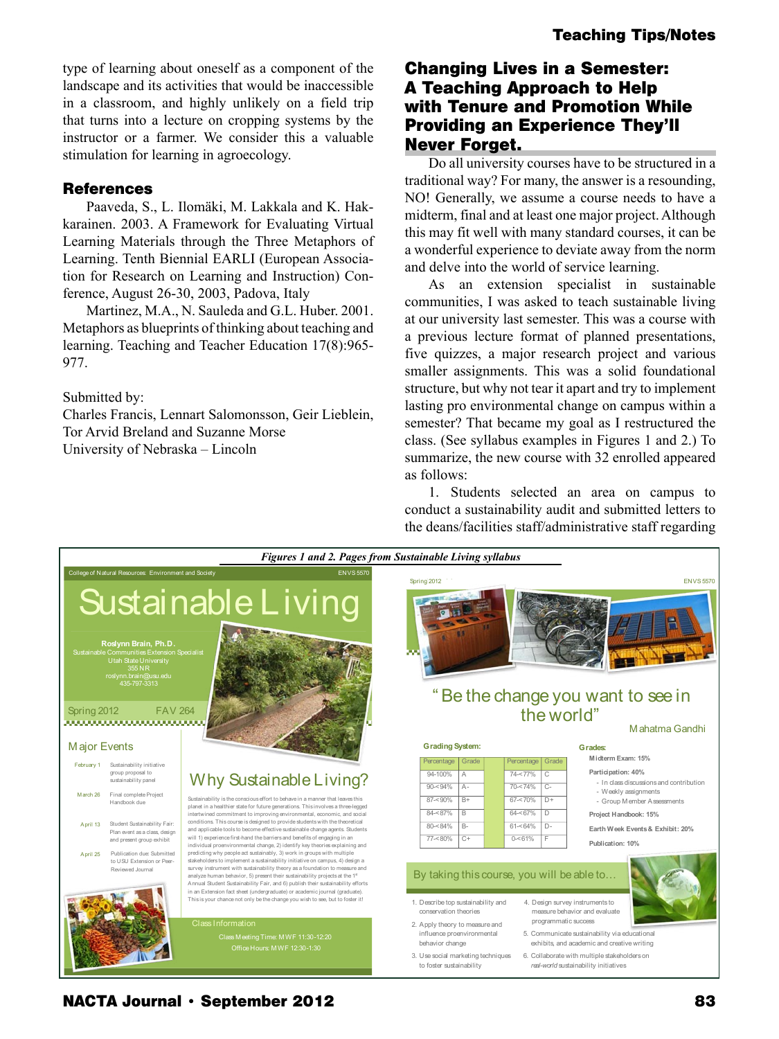type of learning about oneself as a component of the landscape and its activities that would be inaccessible in a classroom, and highly unlikely on a field trip that turns into a lecture on cropping systems by the instructor or a farmer. We consider this a valuable stimulation for learning in agroecology.

#### **References**

Paaveda, S., L. Ilomäki, M. Lakkala and K. Hakkarainen. 2003. A Framework for Evaluating Virtual Learning Materials through the Three Metaphors of Learning. Tenth Biennial EARLI (European Association for Research on Learning and Instruction) Conference, August 26-30, 2003, Padova, Italy

Martinez, M.A., N. Sauleda and G.L. Huber. 2001. Metaphors as blueprints of thinking about teaching and learning. Teaching and Teacher Education 17(8):965- 977.

Submitted by:

Charles Francis, Lennart Salomonsson, Geir Lieblein, Tor Arvid Breland and Suzanne Morse University of Nebraska – Lincoln

## Changing Lives in a Semester: A Teaching Approach to Help with Tenure and Promotion While Providing an Experience They'll Never Forget.

Do all university courses have to be structured in a traditional way? For many, the answer is a resounding, NO! Generally, we assume a course needs to have a midterm, final and at least one major project. Although this may fit well with many standard courses, it can be a wonderful experience to deviate away from the norm and delve into the world of service learning.

As an extension specialist in sustainable communities, I was asked to teach sustainable living at our university last semester. This was a course with a previous lecture format of planned presentations, five quizzes, a major research project and various smaller assignments. This was a solid foundational structure, but why not tear it apart and try to implement lasting pro environmental change on campus within a semester? That became my goal as I restructured the class. (See syllabus examples in Figures 1 and 2.) To summarize, the new course with 32 enrolled appeared as follows:

1. Students selected an area on campus to conduct a sustainability audit and submitted letters to the deans/facilities staff/administrative staff regarding



**NACTA Journal • September 2012**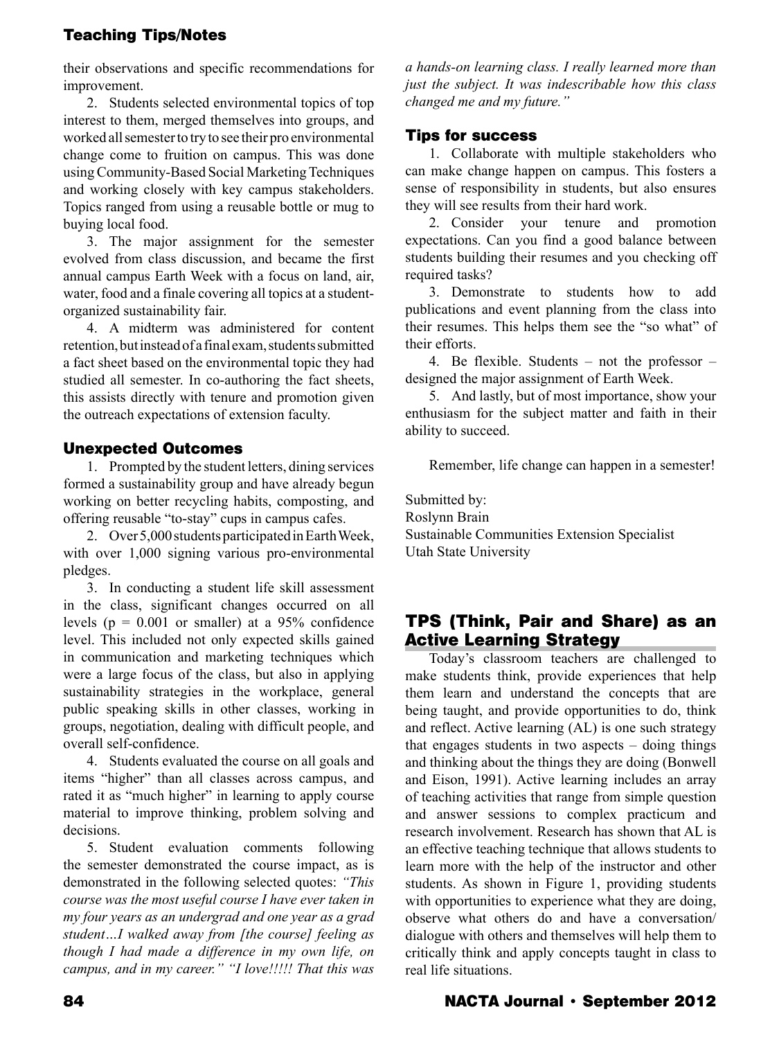## Teaching Tips/Notes

their observations and specific recommendations for improvement.

2. Students selected environmental topics of top interest to them, merged themselves into groups, and worked all semester to try to see their pro environmental change come to fruition on campus. This was done using Community-Based Social Marketing Techniques and working closely with key campus stakeholders. Topics ranged from using a reusable bottle or mug to buying local food.

3. The major assignment for the semester evolved from class discussion, and became the first annual campus Earth Week with a focus on land, air, water, food and a finale covering all topics at a studentorganized sustainability fair.

4. A midterm was administered for content retention, but instead of a final exam, students submitted a fact sheet based on the environmental topic they had studied all semester. In co-authoring the fact sheets, this assists directly with tenure and promotion given the outreach expectations of extension faculty.

### Unexpected Outcomes

1. Prompted by the student letters, dining services formed a sustainability group and have already begun working on better recycling habits, composting, and offering reusable "to-stay" cups in campus cafes.

2. Over 5,000 students participated in Earth Week, with over 1,000 signing various pro-environmental pledges.

3. In conducting a student life skill assessment in the class, significant changes occurred on all levels ( $p = 0.001$  or smaller) at a 95% confidence level. This included not only expected skills gained in communication and marketing techniques which were a large focus of the class, but also in applying sustainability strategies in the workplace, general public speaking skills in other classes, working in groups, negotiation, dealing with difficult people, and overall self-confidence.

4. Students evaluated the course on all goals and items "higher" than all classes across campus, and rated it as "much higher" in learning to apply course material to improve thinking, problem solving and decisions.

5. Student evaluation comments following the semester demonstrated the course impact, as is demonstrated in the following selected quotes: *"This course was the most useful course I have ever taken in my four years as an undergrad and one year as a grad student…I walked away from [the course] feeling as though I had made a difference in my own life, on campus, and in my career." "I love!!!!! That this was* 

*a hands-on learning class. I really learned more than just the subject. It was indescribable how this class changed me and my future."*

### Tips for success

1. Collaborate with multiple stakeholders who can make change happen on campus. This fosters a sense of responsibility in students, but also ensures they will see results from their hard work.

2. Consider your tenure and promotion expectations. Can you find a good balance between students building their resumes and you checking off required tasks?

3. Demonstrate to students how to add publications and event planning from the class into their resumes. This helps them see the "so what" of their efforts.

4. Be flexible. Students – not the professor – designed the major assignment of Earth Week.

5. And lastly, but of most importance, show your enthusiasm for the subject matter and faith in their ability to succeed.

Remember, life change can happen in a semester!

Submitted by: Roslynn Brain Sustainable Communities Extension Specialist Utah State University

## TPS (Think, Pair and Share) as an Active Learning Strategy

Today's classroom teachers are challenged to make students think, provide experiences that help them learn and understand the concepts that are being taught, and provide opportunities to do, think and reflect. Active learning (AL) is one such strategy that engages students in two aspects – doing things and thinking about the things they are doing (Bonwell and Eison, 1991). Active learning includes an array of teaching activities that range from simple question and answer sessions to complex practicum and research involvement. Research has shown that AL is an effective teaching technique that allows students to learn more with the help of the instructor and other students. As shown in Figure 1, providing students with opportunities to experience what they are doing, observe what others do and have a conversation/ dialogue with others and themselves will help them to critically think and apply concepts taught in class to real life situations.

## 84 NACTA Journal • September 2012